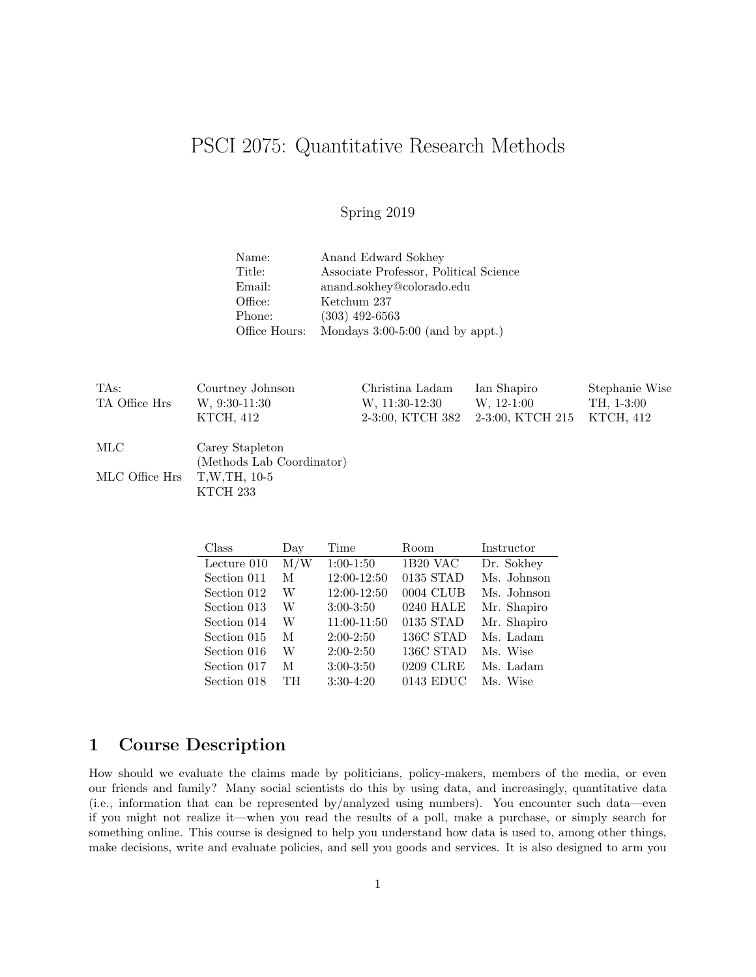# PSCI 2075: Quantitative Research Methods

### Spring 2019

| Name:         | Anand Edward Sokhey                    |
|---------------|----------------------------------------|
| Title:        | Associate Professor, Political Science |
| Email:        | anand.sokhey@colorado.edu              |
| Office:       | Ketchum 237                            |
| Phone:        | $(303)$ 492-6563                       |
| Office Hours: | Mondays $3:00-5:00$ (and by appt.)     |

| TAs:           | Courtney Johnson          | Christina Ladam  | Ian Shapiro      | Stephanie Wise |  |  |  |
|----------------|---------------------------|------------------|------------------|----------------|--|--|--|
| TA Office Hrs  | $W, 9:30-11:30$           | W. 11:30-12:30   | $W, 12-1:00$     | TH, 1-3:00     |  |  |  |
|                | KTCH, 412                 | 2-3:00, KTCH 382 | 2-3:00, KTCH 215 | KTCH, 412      |  |  |  |
| MLC            | Carey Stapleton           |                  |                  |                |  |  |  |
|                | (Methods Lab Coordinator) |                  |                  |                |  |  |  |
| MLC Office Hrs | T, W, TH, 10-5            |                  |                  |                |  |  |  |
|                | KTCH 233                  |                  |                  |                |  |  |  |

| Class       | Day              | Time        | Room      | Instructor  |
|-------------|------------------|-------------|-----------|-------------|
| Lecture 010 | $\overline{M/W}$ | $1:00-1:50$ | 1B20 VAC  | Dr. Sokhey  |
| Section 011 | M                | 12:00-12:50 | 0135 STAD | Ms. Johnson |
| Section 012 | W                | 12:00-12:50 | 0004 CLUB | Ms. Johnson |
| Section 013 | W                | $3:00-3:50$ | 0240 HALE | Mr. Shapiro |
| Section 014 | W                | 11:00-11:50 | 0135 STAD | Mr. Shapiro |
| Section 015 | М                | $2:00-2:50$ | 136C STAD | Ms. Ladam   |
| Section 016 | W                | $2:00-2:50$ | 136C STAD | Ms. Wise    |
| Section 017 | М                | $3:00-3:50$ | 0209 CLRE | Ms. Ladam   |
| Section 018 | TН               | $3:30-4:20$ | 0143 EDUC | Ms. Wise    |

# 1 Course Description

How should we evaluate the claims made by politicians, policy-makers, members of the media, or even our friends and family? Many social scientists do this by using data, and increasingly, quantitative data (i.e., information that can be represented by/analyzed using numbers). You encounter such data—even if you might not realize it—when you read the results of a poll, make a purchase, or simply search for something online. This course is designed to help you understand how data is used to, among other things, make decisions, write and evaluate policies, and sell you goods and services. It is also designed to arm you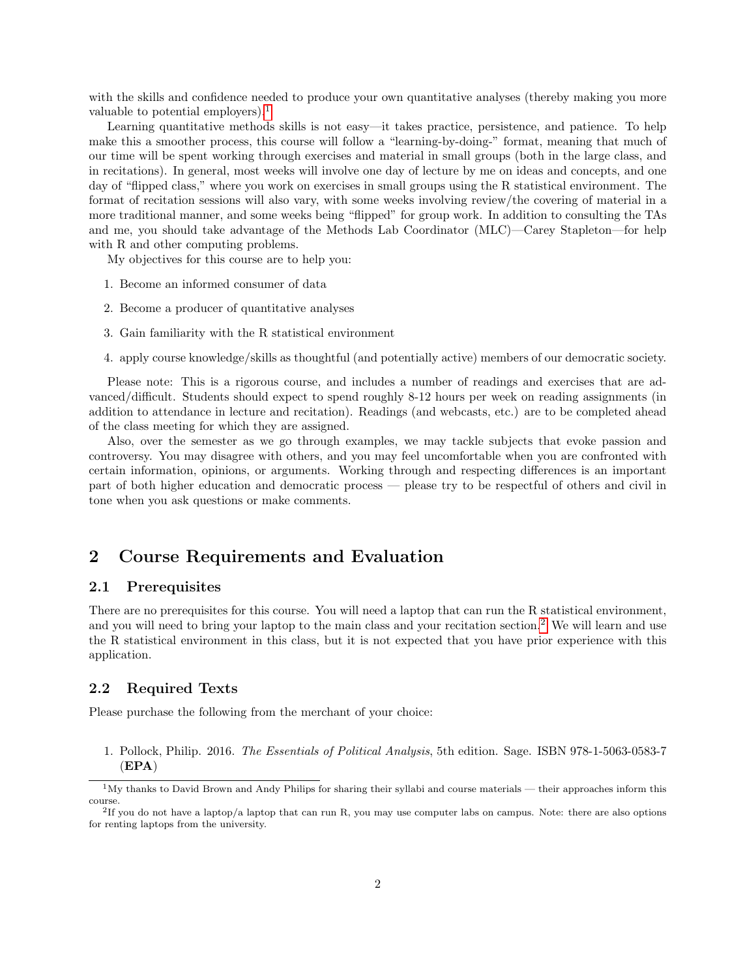with the skills and confidence needed to produce your own quantitative analyses (thereby making you more valuable to potential employers).<sup>[1](#page-1-0)</sup>

Learning quantitative methods skills is not easy—it takes practice, persistence, and patience. To help make this a smoother process, this course will follow a "learning-by-doing-" format, meaning that much of our time will be spent working through exercises and material in small groups (both in the large class, and in recitations). In general, most weeks will involve one day of lecture by me on ideas and concepts, and one day of "flipped class," where you work on exercises in small groups using the R statistical environment. The format of recitation sessions will also vary, with some weeks involving review/the covering of material in a more traditional manner, and some weeks being "flipped" for group work. In addition to consulting the TAs and me, you should take advantage of the Methods Lab Coordinator (MLC)—Carey Stapleton—for help with R and other computing problems.

My objectives for this course are to help you:

- 1. Become an informed consumer of data
- 2. Become a producer of quantitative analyses
- 3. Gain familiarity with the R statistical environment
- 4. apply course knowledge/skills as thoughtful (and potentially active) members of our democratic society.

Please note: This is a rigorous course, and includes a number of readings and exercises that are advanced/difficult. Students should expect to spend roughly 8-12 hours per week on reading assignments (in addition to attendance in lecture and recitation). Readings (and webcasts, etc.) are to be completed ahead of the class meeting for which they are assigned.

Also, over the semester as we go through examples, we may tackle subjects that evoke passion and controversy. You may disagree with others, and you may feel uncomfortable when you are confronted with certain information, opinions, or arguments. Working through and respecting differences is an important part of both higher education and democratic process — please try to be respectful of others and civil in tone when you ask questions or make comments.

# 2 Course Requirements and Evaluation

#### 2.1 Prerequisites

There are no prerequisites for this course. You will need a laptop that can run the R statistical environment, and you will need to bring your laptop to the main class and your recitation section.<sup>[2](#page-1-1)</sup> We will learn and use the R statistical environment in this class, but it is not expected that you have prior experience with this application.

#### 2.2 Required Texts

Please purchase the following from the merchant of your choice:

1. Pollock, Philip. 2016. The Essentials of Political Analysis, 5th edition. Sage. ISBN 978-1-5063-0583-7 (EPA)

<span id="page-1-0"></span> $1\text{My}$  thanks to David Brown and Andy Philips for sharing their syllabi and course materials — their approaches inform this course.

<span id="page-1-1"></span><sup>2</sup> If you do not have a laptop/a laptop that can run R, you may use computer labs on campus. Note: there are also options for renting laptops from the university.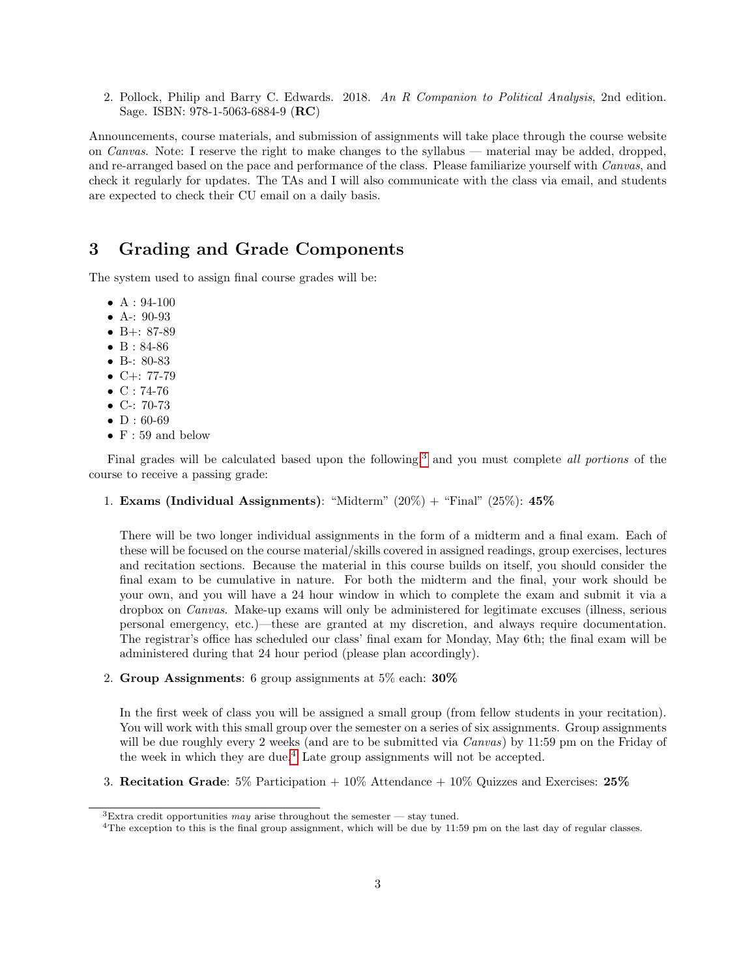2. Pollock, Philip and Barry C. Edwards. 2018. An R Companion to Political Analysis, 2nd edition. Sage. ISBN: 978-1-5063-6884-9 (RC)

Announcements, course materials, and submission of assignments will take place through the course website on Canvas. Note: I reserve the right to make changes to the syllabus — material may be added, dropped, and re-arranged based on the pace and performance of the class. Please familiarize yourself with Canvas, and check it regularly for updates. The TAs and I will also communicate with the class via email, and students are expected to check their CU email on a daily basis.

### 3 Grading and Grade Components

The system used to assign final course grades will be:

- $A: 94-100$
- A-: 90-93
- B+: 87-89
- B : 84-86
- B-: 80-83
- $C+: 77-79$
- $C: 74-76$
- C-: 70-73
- $D: 60-69$
- $\bullet\,$  F : 59 and below

Final grades will be calculated based upon the following,<sup>[3](#page-2-0)</sup> and you must complete *all portions* of the course to receive a passing grade:

1. Exams (Individual Assignments): "Midterm"  $(20\%) +$  "Final"  $(25\%)$ : 45%

There will be two longer individual assignments in the form of a midterm and a final exam. Each of these will be focused on the course material/skills covered in assigned readings, group exercises, lectures and recitation sections. Because the material in this course builds on itself, you should consider the final exam to be cumulative in nature. For both the midterm and the final, your work should be your own, and you will have a 24 hour window in which to complete the exam and submit it via a dropbox on Canvas. Make-up exams will only be administered for legitimate excuses (illness, serious personal emergency, etc.)—these are granted at my discretion, and always require documentation. The registrar's office has scheduled our class' final exam for Monday, May 6th; the final exam will be administered during that 24 hour period (please plan accordingly).

2. Group Assignments: 6 group assignments at 5% each: 30%

In the first week of class you will be assigned a small group (from fellow students in your recitation). You will work with this small group over the semester on a series of six assignments. Group assignments will be due roughly every 2 weeks (and are to be submitted via *Canvas*) by 11:59 pm on the Friday of the week in which they are due.<sup>[4](#page-2-1)</sup> Late group assignments will not be accepted.

3. Recitation Grade:  $5\%$  Participation  $+10\%$  Attendance  $+10\%$  Quizzes and Exercises: 25%

<span id="page-2-0"></span><sup>&</sup>lt;sup>3</sup>Extra credit opportunities may arise throughout the semester — stay tuned.

<span id="page-2-1"></span><sup>4</sup>The exception to this is the final group assignment, which will be due by 11:59 pm on the last day of regular classes.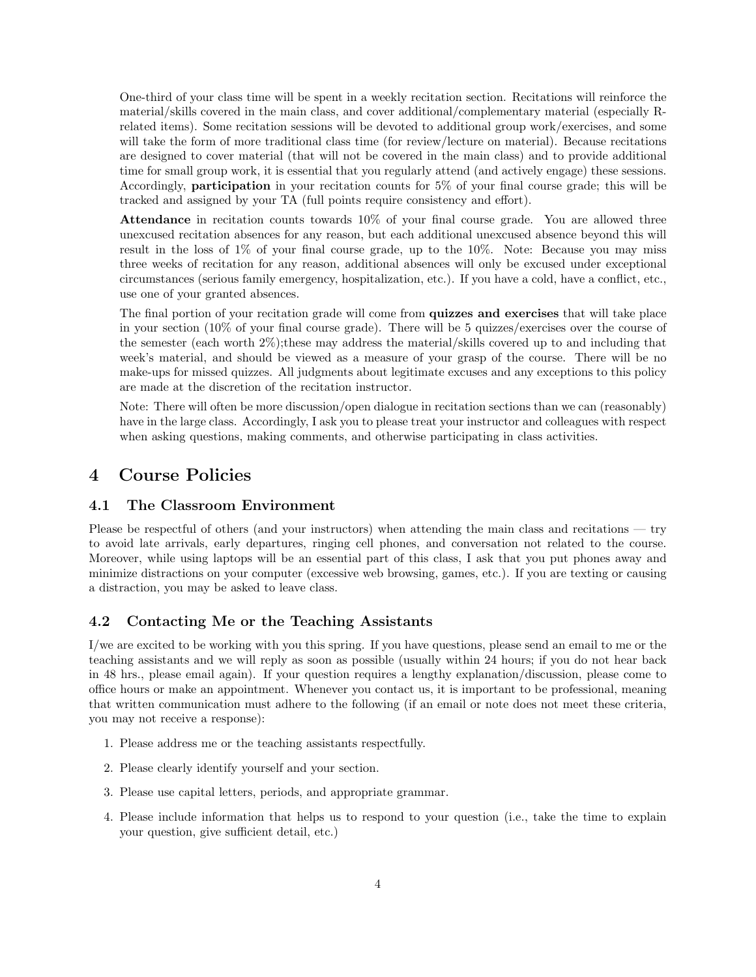One-third of your class time will be spent in a weekly recitation section. Recitations will reinforce the material/skills covered in the main class, and cover additional/complementary material (especially Rrelated items). Some recitation sessions will be devoted to additional group work/exercises, and some will take the form of more traditional class time (for review/lecture on material). Because recitations are designed to cover material (that will not be covered in the main class) and to provide additional time for small group work, it is essential that you regularly attend (and actively engage) these sessions. Accordingly, participation in your recitation counts for 5% of your final course grade; this will be tracked and assigned by your TA (full points require consistency and effort).

Attendance in recitation counts towards  $10\%$  of your final course grade. You are allowed three unexcused recitation absences for any reason, but each additional unexcused absence beyond this will result in the loss of 1% of your final course grade, up to the 10%. Note: Because you may miss three weeks of recitation for any reason, additional absences will only be excused under exceptional circumstances (serious family emergency, hospitalization, etc.). If you have a cold, have a conflict, etc., use one of your granted absences.

The final portion of your recitation grade will come from quizzes and exercises that will take place in your section (10% of your final course grade). There will be 5 quizzes/exercises over the course of the semester (each worth 2%);these may address the material/skills covered up to and including that week's material, and should be viewed as a measure of your grasp of the course. There will be no make-ups for missed quizzes. All judgments about legitimate excuses and any exceptions to this policy are made at the discretion of the recitation instructor.

Note: There will often be more discussion/open dialogue in recitation sections than we can (reasonably) have in the large class. Accordingly, I ask you to please treat your instructor and colleagues with respect when asking questions, making comments, and otherwise participating in class activities.

### 4 Course Policies

#### 4.1 The Classroom Environment

Please be respectful of others (and your instructors) when attending the main class and recitations — try to avoid late arrivals, early departures, ringing cell phones, and conversation not related to the course. Moreover, while using laptops will be an essential part of this class, I ask that you put phones away and minimize distractions on your computer (excessive web browsing, games, etc.). If you are texting or causing a distraction, you may be asked to leave class.

#### 4.2 Contacting Me or the Teaching Assistants

I/we are excited to be working with you this spring. If you have questions, please send an email to me or the teaching assistants and we will reply as soon as possible (usually within 24 hours; if you do not hear back in 48 hrs., please email again). If your question requires a lengthy explanation/discussion, please come to office hours or make an appointment. Whenever you contact us, it is important to be professional, meaning that written communication must adhere to the following (if an email or note does not meet these criteria, you may not receive a response):

- 1. Please address me or the teaching assistants respectfully.
- 2. Please clearly identify yourself and your section.
- 3. Please use capital letters, periods, and appropriate grammar.
- 4. Please include information that helps us to respond to your question (i.e., take the time to explain your question, give sufficient detail, etc.)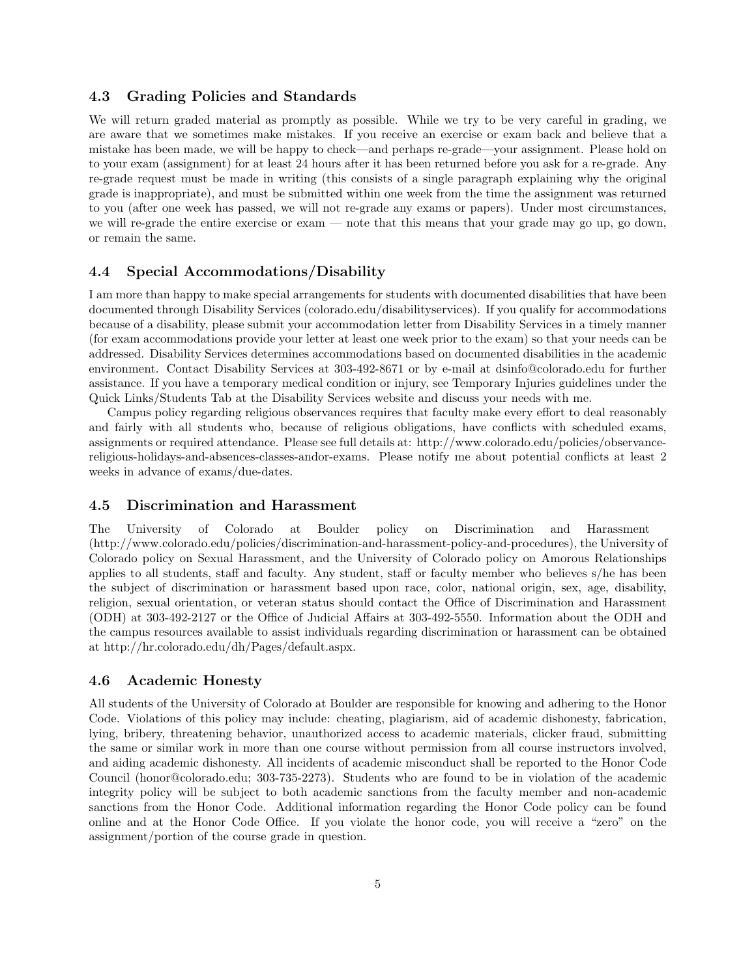#### 4.3 Grading Policies and Standards

We will return graded material as promptly as possible. While we try to be very careful in grading, we are aware that we sometimes make mistakes. If you receive an exercise or exam back and believe that a mistake has been made, we will be happy to check—and perhaps re-grade—your assignment. Please hold on to your exam (assignment) for at least 24 hours after it has been returned before you ask for a re-grade. Any re-grade request must be made in writing (this consists of a single paragraph explaining why the original grade is inappropriate), and must be submitted within one week from the time the assignment was returned to you (after one week has passed, we will not re-grade any exams or papers). Under most circumstances, we will re-grade the entire exercise or exam — note that this means that your grade may go up, go down, or remain the same.

#### 4.4 Special Accommodations/Disability

I am more than happy to make special arrangements for students with documented disabilities that have been documented through Disability Services (colorado.edu/disabilityservices). If you qualify for accommodations because of a disability, please submit your accommodation letter from Disability Services in a timely manner (for exam accommodations provide your letter at least one week prior to the exam) so that your needs can be addressed. Disability Services determines accommodations based on documented disabilities in the academic environment. Contact Disability Services at 303-492-8671 or by e-mail at dsinfo@colorado.edu for further assistance. If you have a temporary medical condition or injury, see Temporary Injuries guidelines under the Quick Links/Students Tab at the Disability Services website and discuss your needs with me.

Campus policy regarding religious observances requires that faculty make every effort to deal reasonably and fairly with all students who, because of religious obligations, have conflicts with scheduled exams, assignments or required attendance. Please see full details at: http://www.colorado.edu/policies/observancereligious-holidays-and-absences-classes-andor-exams. Please notify me about potential conflicts at least 2 weeks in advance of exams/due-dates.

#### 4.5 Discrimination and Harassment

The University of Colorado at Boulder policy on Discrimination and Harassment (http://www.colorado.edu/policies/discrimination-and-harassment-policy-and-procedures), the University of Colorado policy on Sexual Harassment, and the University of Colorado policy on Amorous Relationships applies to all students, staff and faculty. Any student, staff or faculty member who believes s/he has been the subject of discrimination or harassment based upon race, color, national origin, sex, age, disability, religion, sexual orientation, or veteran status should contact the Office of Discrimination and Harassment (ODH) at 303-492-2127 or the Office of Judicial Affairs at 303-492-5550. Information about the ODH and the campus resources available to assist individuals regarding discrimination or harassment can be obtained at http://hr.colorado.edu/dh/Pages/default.aspx.

#### 4.6 Academic Honesty

All students of the University of Colorado at Boulder are responsible for knowing and adhering to the Honor Code. Violations of this policy may include: cheating, plagiarism, aid of academic dishonesty, fabrication, lying, bribery, threatening behavior, unauthorized access to academic materials, clicker fraud, submitting the same or similar work in more than one course without permission from all course instructors involved, and aiding academic dishonesty. All incidents of academic misconduct shall be reported to the Honor Code Council (honor@colorado.edu; 303-735-2273). Students who are found to be in violation of the academic integrity policy will be subject to both academic sanctions from the faculty member and non-academic sanctions from the Honor Code. Additional information regarding the Honor Code policy can be found online and at the Honor Code Office. If you violate the honor code, you will receive a "zero" on the assignment/portion of the course grade in question.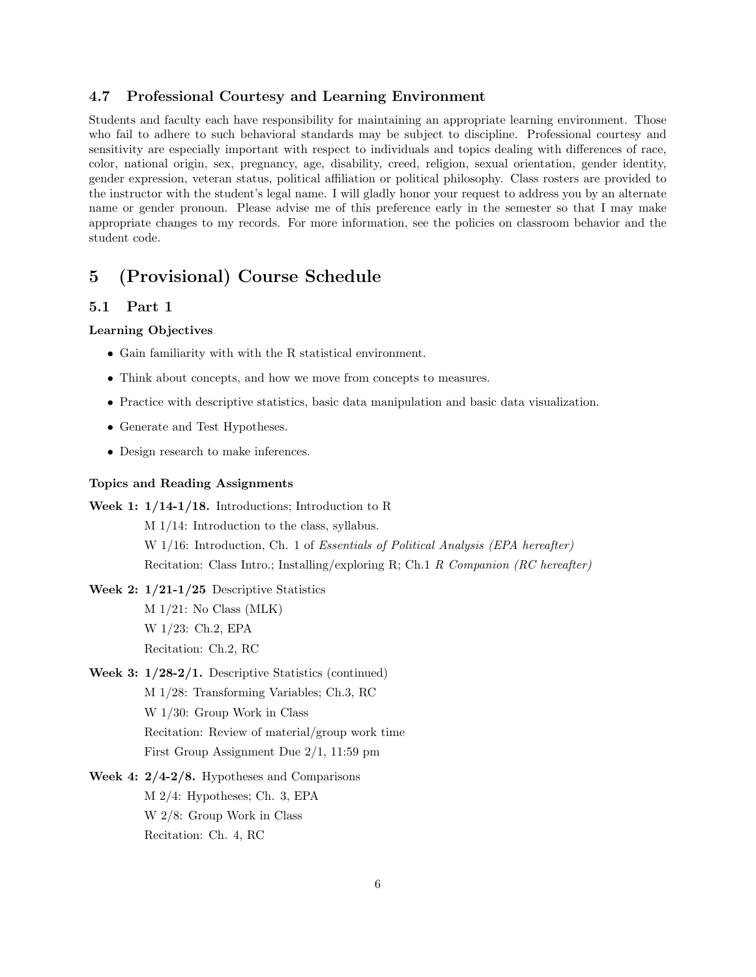#### 4.7 Professional Courtesy and Learning Environment

Students and faculty each have responsibility for maintaining an appropriate learning environment. Those who fail to adhere to such behavioral standards may be subject to discipline. Professional courtesy and sensitivity are especially important with respect to individuals and topics dealing with differences of race, color, national origin, sex, pregnancy, age, disability, creed, religion, sexual orientation, gender identity, gender expression, veteran status, political affiliation or political philosophy. Class rosters are provided to the instructor with the student's legal name. I will gladly honor your request to address you by an alternate name or gender pronoun. Please advise me of this preference early in the semester so that I may make appropriate changes to my records. For more information, see the policies on classroom behavior and the student code.

## 5 (Provisional) Course Schedule

#### 5.1 Part 1

#### Learning Objectives

- Gain familiarity with with the R statistical environment.
- Think about concepts, and how we move from concepts to measures.
- Practice with descriptive statistics, basic data manipulation and basic data visualization.
- Generate and Test Hypotheses.
- Design research to make inferences.

#### Topics and Reading Assignments

Week 1: 1/14-1/18. Introductions; Introduction to R M 1/14: Introduction to the class, syllabus. W 1/16: Introduction, Ch. 1 of *Essentials of Political Analysis (EPA hereafter)* Recitation: Class Intro.; Installing/exploring R; Ch.1 R Companion (RC hereafter)

- Week 2: 1/21-1/25 Descriptive Statistics M 1/21: No Class (MLK) W 1/23: Ch.2, EPA Recitation: Ch.2, RC
- Week 3: 1/28-2/1. Descriptive Statistics (continued) M 1/28: Transforming Variables; Ch.3, RC W 1/30: Group Work in Class Recitation: Review of material/group work time First Group Assignment Due 2/1, 11:59 pm
- Week 4: 2/4-2/8. Hypotheses and Comparisons M 2/4: Hypotheses; Ch. 3, EPA W 2/8: Group Work in Class Recitation: Ch. 4, RC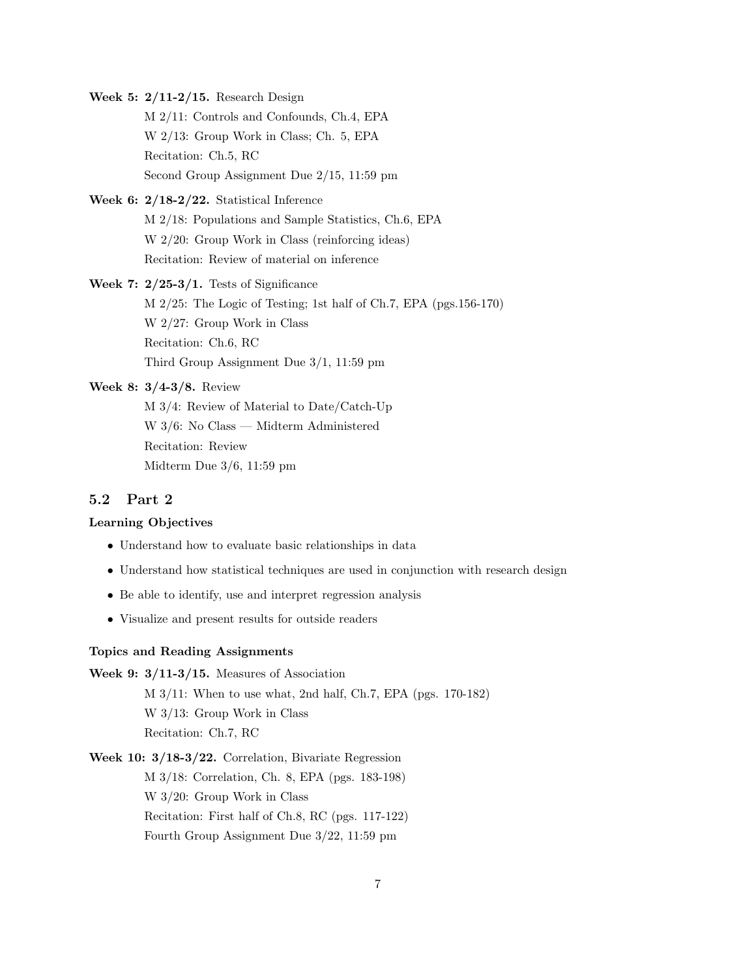Week 5: 2/11-2/15. Research Design M 2/11: Controls and Confounds, Ch.4, EPA W 2/13: Group Work in Class; Ch. 5, EPA Recitation: Ch.5, RC Second Group Assignment Due 2/15, 11:59 pm

- Week 6: 2/18-2/22. Statistical Inference M 2/18: Populations and Sample Statistics, Ch.6, EPA W 2/20: Group Work in Class (reinforcing ideas) Recitation: Review of material on inference
- Week 7:  $2/25-3/1$ . Tests of Significance M 2/25: The Logic of Testing; 1st half of Ch.7, EPA (pgs.156-170) W 2/27: Group Work in Class Recitation: Ch.6, RC Third Group Assignment Due 3/1, 11:59 pm

Week 8: 3/4-3/8. Review

M 3/4: Review of Material to Date/Catch-Up W 3/6: No Class — Midterm Administered Recitation: Review Midterm Due 3/6, 11:59 pm

#### 5.2 Part 2

#### Learning Objectives

- Understand how to evaluate basic relationships in data
- Understand how statistical techniques are used in conjunction with research design
- Be able to identify, use and interpret regression analysis
- Visualize and present results for outside readers

#### Topics and Reading Assignments

Week 9: 3/11-3/15. Measures of Association M 3/11: When to use what, 2nd half, Ch.7, EPA (pgs. 170-182) W 3/13: Group Work in Class Recitation: Ch.7, RC

Week 10: 3/18-3/22. Correlation, Bivariate Regression M 3/18: Correlation, Ch. 8, EPA (pgs. 183-198) W 3/20: Group Work in Class Recitation: First half of Ch.8, RC (pgs. 117-122) Fourth Group Assignment Due 3/22, 11:59 pm